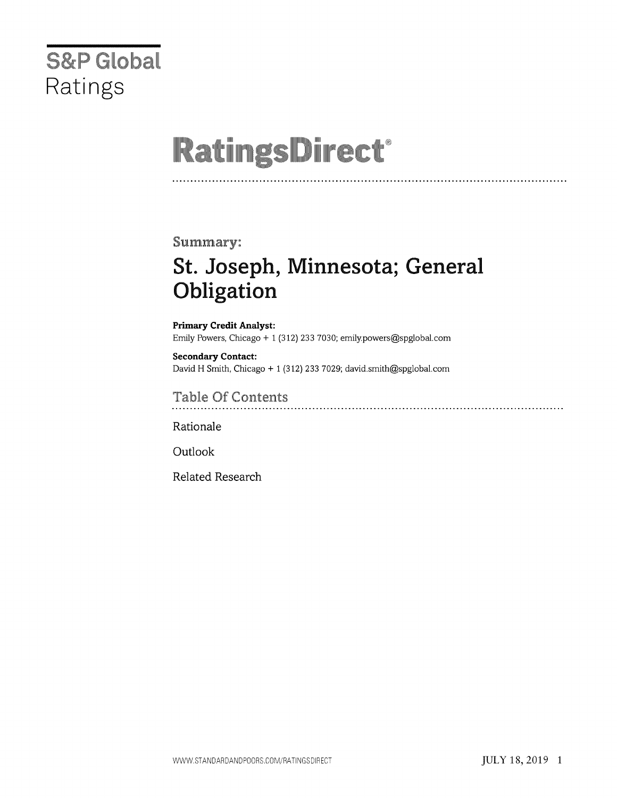# **S&P** Global Ratings

# **RatingsDirect®**

### Summary:

# St. Joseph, Minnesota; General Obligation

Primary Credit Analyst: Emily Powers, Chicago + 1 (312) 233 7030; emily.powers@spglobal.com

Secondary Contact: David H Smith, Chicago + 1 (312) 233 7029; david.smith@spglobal.com

**Table Of Contents** 

Rationale

Outlook

Related Research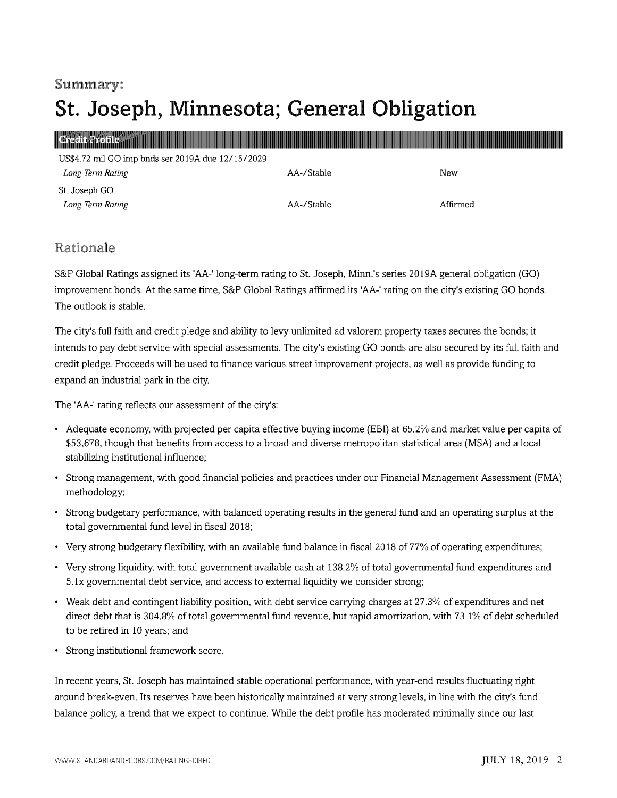### Summary:

# St. Joseph, Minnesota; General Obligation

| <b>Gredit Profile</b>                             |            |          |
|---------------------------------------------------|------------|----------|
| US\$4.72 mil GO imp bnds ser 2019A due 12/15/2029 |            |          |
| Long Term Rating                                  | AA-/Stable | New      |
| St. Joseph GO                                     |            |          |
| Long Term Rating                                  | AA-/Stable | Affirmed |

### Rationale

S&P Global Ratings assigned its 'AA-' long-term rating to St. Joseph, Minn.'s series 2019A general obligation (GO) improvement bonds. At the same time, S&P Global Ratings affirmed its 'AA-' rating on the city's existing GO bonds. The outlook is stable.

The city's full faith and credit pledge and ability to levy unlimited ad valorem property taxes secures the bonds; it intends to pay debt service with special assessments. The city's existing GO bonds are also secured by its full faith and credit pledge. Proceeds will be used to finance various street improvement projects, as well as provide funding to expand an industrial park in the city.

The 'AA-' rating reflects our assessment of the city's:

- Adequate economy, with projected per capita effective buying income (EBI) at 65.2% and market value per capita of \$53,678, though that benefits from access to a broad and diverse metropolitan statistical area (MSA) and a local stabilizing institutional influence;
- Strong management, with good financial policies and practices under our Financial Management Assessment (FMA) methodology;
- Strong budgetary performance, with balanced operating results in the general fund and an operating surplus at the total governmental fund level in fiscal 2018;
- Very strong budgetary flexibility, with an available fund balance in fiscal 2018 of 77% of operating expenditures;
- Very strong liquidity, with total government available cash at 138.2% of total governmental fund expenditures and 5.1x governmental debt service, and access to external liquidity we consider strong;
- Weak debt and contingent liability position, with debt service carrying charges at 27.3% of expenditures and net direct debt that is 304.8% of total governmental fund revenue, but rapid amortization, with 73.1% of debt scheduled to be retired in 10 years; and
- Strong institutional framework score.

In recent years, St. Joseph has maintained stable operational performance, with year-end results fluctuating right around break-even. Its reserves have been historically maintained at very strong levels, in line with the city's fund balance policy, a trend that we expect to continue. While the debt profile has moderated minimally since our last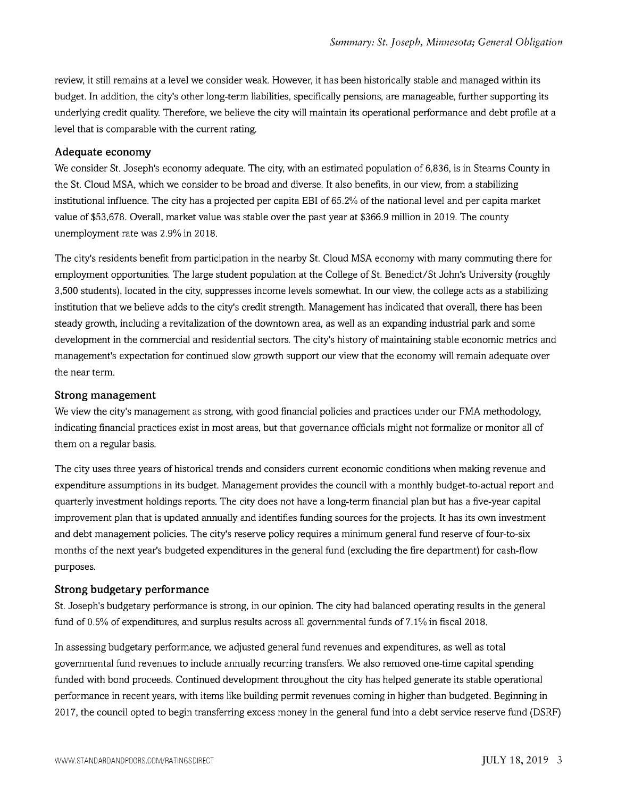review, it still remains at a level we consider weak. However, it has been historically stable and managed within its budget. In addition, the city's other long-term liabilities, specifically pensions, are manageable, further supporting its underlying credit quality. Therefore, we believe the city will maintain its operational performance and debt profile at a level that is comparable with the current rating.

#### Adequate economy

We consider St. Joseph's economy adequate. The city, with an estimated population of 6,836, is in Stearns County in the St. Cloud MSA, which we consider to be broad and diverse. It also benefits, in our view, from a stabilizing institutional influence. The city has a projected per capita EBI of 65.2% of the national level and per capita market value of \$53,678. Overall, market value was stable over the past year at \$366.9 million in 2019. The county unemployment rate was 2.9% in 2018.

The city's residents benefit from participation in the nearby St. Cloud MSA economy with many commuting there for employment opportunities. The large student population at the College of St. Benedict/St John's University (roughly 3,500 students), located in the city, suppresses income levels somewhat. In our view, the college acts as a stabilizing institution that we believe adds to the city's credit strength. Management has indicated that overall, there has been steady growth, including a revitalization of the downtown area, as well as an expanding industrial park and some development in the commercial and residential sectors. The city's history of maintaining stable economic metrics and management's expectation for continued slow growth support our view that the economy will remain adequate over the near term.

#### Strong management

We view the city's management as strong, with good financial policies and practices under our FMA methodology, indicating financial practices exist in most areas, but that governance officials might not formalize or monitor all of them on a regular basis.

The city uses three years of historical trends and considers current economic conditions when making revenue and expenditure assumptions in its budget. Management provides the council with a monthly budget-to-actual report and quarterly investment holdings reports. The city does not have a long-term financial plan but has a five-year capital improvement plan that is updated annually and identifies funding sources for the projects. It has its own investment and debt management policies. The city's reserve policy requires a minimum general fund reserve of four-to-six months of the next year's budgeted expenditures in the general fund (excluding the fire department) for cash-flow purposes.

#### Strong budgetary performance

St. Joseph's budgetary performance is strong, in our opinion. The city had balanced operating results in the general fund of  $0.5\%$  of expenditures, and surplus results across all governmental funds of  $7.1\%$  in fiscal 2018.

In assessing budgetary performance, we adjusted general fund revenues and expenditures, as well as total governmental fund revenues to include annually recurring transfers. We also removed one-time capital spending funded with bond proceeds. Continued development throughout the city has helped generate its stable operational performance in recent years, with items like building permit revenues coming in higher than budgeted. Beginning in 2017, the council opted to begin transferring excess money in the general fund into a debt service reserve fund (DSRF)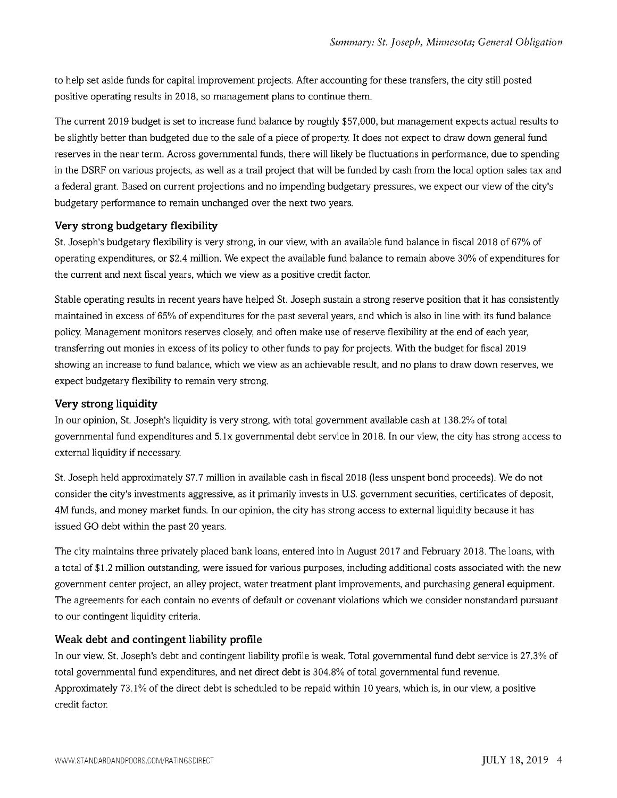to help set aside funds for capital improvement projects. After accounting for these transfers, the city still posted positive operating results in 2018, so management plans to continue them.

The current 2019 budget is set to increase fund balance by roughly \$57,000, but management expects actual results to be slightly better than budgeted due to the sale of a piece of property. It does not expect to draw down general fund reserves in the near term. Across governmental funds, there will likely be fluctuations in performance, due to spending in the DSRF on various projects, as well as a trail project that will be funded by cash from the local option sales tax and a federal grant. Based on current projections and no impending budgetary pressures, we expect our view of the city's budgetary performance to remain unchanged over the next two years.

#### Very strong budgetary flexibility

St. Joseph's budgetary flexibility is very strong, in our view, with an available fund balance in fiscal 2018 of 67% of operating expenditures, or \$2.4 million. We expect the available fund balance to remain above 30% of expenditures for the current and next fiscal years, which we view as a positive credit factor.

Stable operating results in recent years have helped St. Joseph sustain a strong reserve position that it has consistently maintained in excess of 65% of expenditures for the past several years, and which is also in line with its fund balance policy. Management monitors reserves closely, and often make use of reserve flexibility at the end of each year, transferring out monies in excess of its policy to other funds to pay for projects. With the budget for fiscal 2019 showing an increase to fund balance, which we view as an achievable result, and no plans to draw down reserves, we expect budgetary flexibility to remain very strong.

#### Very strong liquidity

In our opinion, St. Joseph's liquidity is very strong, with total government available cash at 138.2% of total governmental fund expenditures and 5.1x governmental debt service in 2018. In our view, the city has strong access to external liquidity if necessary.

St. Joseph held approximately \$7.7 million in available cash in fiscal 2018 (less unspent bond proceeds). We do not consider the city's investments aggressive, as it primarily invests in U.S. government securities, certificates of deposit, 4M funds, and money market funds. In our opinion, the city has strong access to external liquidity because it has issued GO debt within the past 20 years.

The city maintains three privately placed bank loans, entered into in August 2017 and February 2018. The loans, with a total of \$1.2 million outstanding, were issued for various purposes, including additional costs associated with the new government center project, an alley project, water treatment plant improvements, and purchasing general equipment. The agreements for each contain no events of default or covenant violations which we consider nonstandard pursuant to our contingent liquidity criteria.

#### Weak debt and contingent liability profile

In our view, St. Joseph's debt and contingent liability profile is weak. Total governmental fund debt service is 27.3% of total governmental fund expenditures, and net direct debt is 304.8% of total governmental fund revenue. Approximately 73.1% of the direct debt is scheduled to be repaid within 10 years, which is, in our view, a positive credit factor.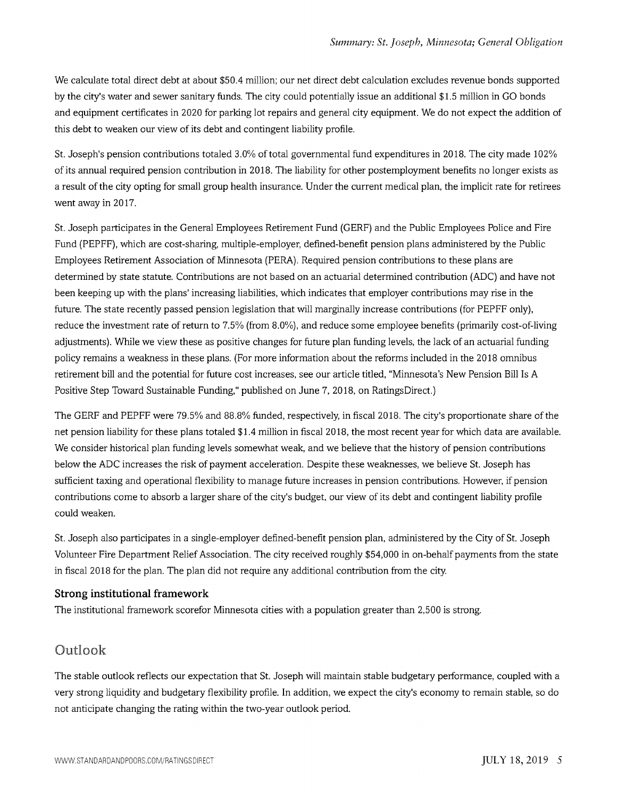We calculate total direct debt at about \$50.4 million; our net direct debt calculation excludes revenue bonds supported by the city's water and sewer sanitary funds. The city could potentially issue an additional \$1.5 million in GO bonds and equipment certificates in 2020 for parking lot repairs and general city equipment. We do not expect the addition of this debt to weaken our view of its debt and contingent liability profile.

St. Joseph's pension contributions totaled 3.0% of total governmental fund expenditures in 2018. The city made 102% of its annual required pension contribution in 2018. The liability for other postemployment benefits no longer exists as a result of the city opting for small group health insurance. Under the current medical plan, the implicit rate for retirees went away in 2017.

St. Joseph participates in the General Employees Retirement Fund (GERF) and the Public Employees Police and Fire Fund (PEPFF), which are cost-sharing, multiple-employer, defined-benefit pension plans administered by the Public Employees Retirement Association of Minnesota (PERA). Required pension contributions to these plans are determined by state statute. Contributions are not based on an actuarial determined contribution (ADC) and have not been keeping up with the plans' increasing liabilities, which indicates that employer contributions may rise in the future. The state recently passed pension legislation that will marginally increase contributions (for PEPFF only), reduce the investment rate of return to 7.5% (from 8.0%), and reduce some employee benefits (primarily cost-of-living adjustments). While we view these as positive changes for future plan funding levels, the lack of an actuarial funding policy remains a weakness in these plans. (For more information about the reforms included in the 2018 omnibus retirement bill and the potential for future cost increases, see our article titled, "Minnesota's New Pension Bill Is A Positive Step Toward Sustainable Funding," published on June 7, 2018, on RatingsDirect.)

The GERF and PEPFF were 79.5% and 88.8% funded, respectively, in fiscal 2018. The city's proportionate share of the net pension liability for these plans totaled \$1.4 million in fiscal 2018, the most recent year for which data are available. We consider historical plan funding levels somewhat weak, and we believe that the history of pension contributions below the ADC increases the risk of payment acceleration. Despite these weaknesses, we believe St. Joseph has sufficient taxing and operational flexibility to manage future increases in pension contributions. However, if pension contributions come to absorb a larger share of the city's budget, our view of its debt and contingent liability profile could weaken.

St. Joseph also participates in a single-employer defined-benefit pension plan, administered by the City of St. Joseph Volunteer Fire Department Relief Association. The city received roughly \$54,000 in on-behalf payments from the state in fiscal 2018 for the plan. The plan did not require any additional contribution from the city.

#### Strong institutional framework

The institutional framework scorefor Minnesota cities with a population greater than 2,500 is strong.

# Outlook

The stable outlook reflects our expectation that St. Joseph will maintain stable budgetary performance, coupled with a very strong liquidity and budgetary flexibility profile. In addition, we expect the city's economy to remain stable, so do not anticipate changing the rating within the two-year outlook period.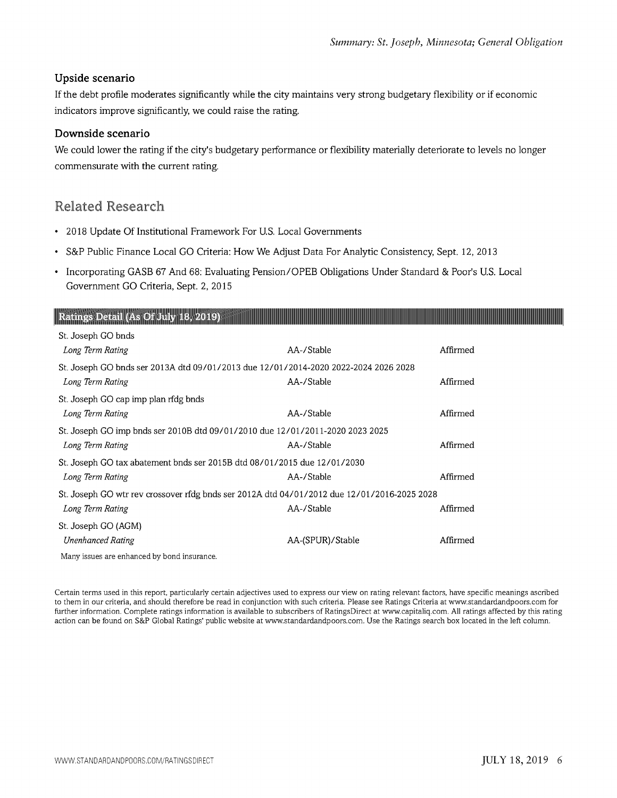#### Upside scenario

If the debt profile moderates significantly while the city maintains very strong budgetary flexibility or if economic indicators improve significantly, we could raise the rating.

#### Downside scenario

We could lower the rating if the city's budgetary performance or flexibility materially deteriorate to levels no longer commensurate with the current rating.

# Related Research

- 2018 Update Of Institutional Framework For U.S. Local Governments
- S&P Public Finance Local GO Criteria: How We Adjust Data For Analytic Consistency, Sept. 12, 2013
- Incorporating GASB 67 And 68: Evaluating Pension/OPEB Obligations Under Standard & Poor's U.S. Local Government GO Criteria, Sept. 2, 2015

#### Ratings Detail (As Of July 18, 2019)

| St. Joseph GO bnds                                                                          |                  |          |  |
|---------------------------------------------------------------------------------------------|------------------|----------|--|
| Long Term Rating                                                                            | AA-/Stable       | Affirmed |  |
| St. Joseph GO bnds ser 2013A dtd 09/01/2013 due 12/01/2014-2020 2022-2024 2026 2028         |                  |          |  |
| Long Term Rating                                                                            | AA-/Stable       | Affirmed |  |
| St. Joseph GO cap imp plan rfdg bnds                                                        |                  |          |  |
| Long Term Rating                                                                            | AA-/Stable       | Affirmed |  |
| St. Joseph GO imp bnds ser 2010B dtd 09/01/2010 due 12/01/2011-2020 2023 2025               |                  |          |  |
| Long Term Rating                                                                            | AA-/Stable       | Affirmed |  |
| St. Joseph GO tax abatement bnds ser 2015B dtd 08/01/2015 due 12/01/2030                    |                  |          |  |
| Long Term Rating                                                                            | AA-/Stable       | Affirmed |  |
| St. Joseph GO wtr rev crossover rfdg bnds ser 2012A dtd 04/01/2012 due 12/01/2016-2025 2028 |                  |          |  |
| Long Term Rating                                                                            | AA-/Stable       | Affirmed |  |
| St. Joseph GO (AGM)                                                                         |                  |          |  |
| <b>Unenhanced Rating</b>                                                                    | AA-(SPUR)/Stable | Affirmed |  |
| Many issues are enhanced by bond insurance.                                                 |                  |          |  |

Certain terms used in this report, particularly certain adjectives used to express our view on rating relevant factors, have specific meanings ascribed to them in our criteria, and should therefore be read in conjunction with such criteria. Please see Ratings Criteria at www.standardandpoors.com for further information. Complete ratings information is available to subscribers of RatingsDirect at www.capitaliq.com. All ratings affected by this rating action can be found on S&P Global Ratings' public website at www.standardandpoors.com. Use the Ratings search box located in the left column.